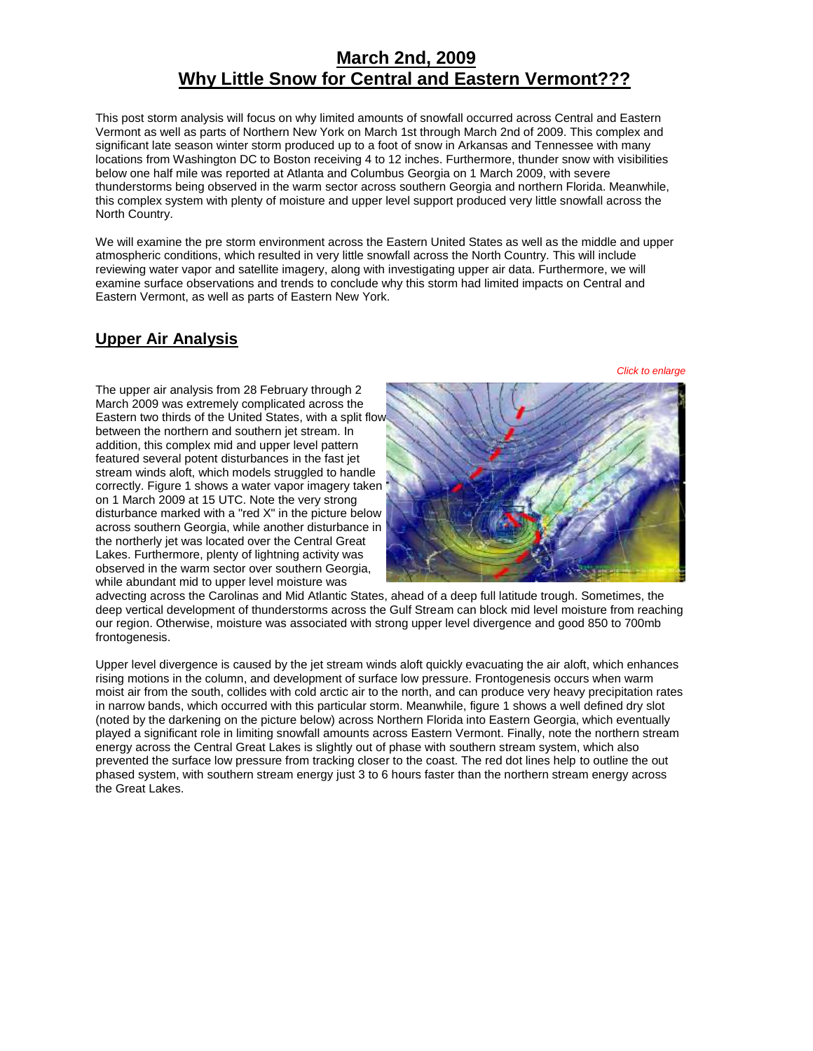# **March 2nd, 2009 Why Little Snow for Central and Eastern Vermont???**

This post storm analysis will focus on why limited amounts of snowfall occurred across Central and Eastern Vermont as well as parts of Northern New York on March 1st through March 2nd of 2009. This complex and significant late season winter storm produced up to a foot of snow in Arkansas and Tennessee with many locations from Washington DC to Boston receiving 4 to 12 inches. Furthermore, thunder snow with visibilities below one half mile was reported at Atlanta and Columbus Georgia on 1 March 2009, with severe thunderstorms being observed in the warm sector across southern Georgia and northern Florida. Meanwhile, this complex system with plenty of moisture and upper level support produced very little snowfall across the North Country.

We will examine the pre storm environment across the Eastern United States as well as the middle and upper atmospheric conditions, which resulted in very little snowfall across the North Country. This will include reviewing water vapor and satellite imagery, along with investigating upper air data. Furthermore, we will examine surface observations and trends to conclude why this storm had limited impacts on Central and Eastern Vermont, as well as parts of Eastern New York.

## **Upper Air Analysis**

The upper air analysis from 28 February through 2 March 2009 was extremely complicated across the Eastern two thirds of the United States, with a split flo[w](http://www.weather.gov/images/btv/events/02Mar2009/figure1.PNG)  between the northern and southern jet stream. In addition, this complex mid and upper level pattern featured several potent disturbances in the fast jet stream winds aloft, which models struggled to handle correctly. Figure 1 shows a water vapor imagery taken on 1 March 2009 at 15 UTC. Note the very strong disturbance marked with a "red X" in the picture below across southern Georgia, while another disturbance in the northerly jet was located over the Central Great Lakes. Furthermore, plenty of lightning activity was observed in the warm sector over southern Georgia, while abundant mid to upper level moisture was



advecting across the Carolinas and Mid Atlantic States, ahead of a deep full latitude trough. Sometimes, the deep vertical development of thunderstorms across the Gulf Stream can block mid level moisture from reaching our region. Otherwise, moisture was associated with strong upper level divergence and good 850 to 700mb frontogenesis.

Upper level divergence is caused by the jet stream winds aloft quickly evacuating the air aloft, which enhances rising motions in the column, and development of surface low pressure. Frontogenesis occurs when warm moist air from the south, collides with cold arctic air to the north, and can produce very heavy precipitation rates in narrow bands, which occurred with this particular storm. Meanwhile, figure 1 shows a well defined dry slot (noted by the darkening on the picture below) across Northern Florida into Eastern Georgia, which eventually played a significant role in limiting snowfall amounts across Eastern Vermont. Finally, note the northern stream energy across the Central Great Lakes is slightly out of phase with southern stream system, which also prevented the surface low pressure from tracking closer to the coast. The red dot lines help to outline the out phased system, with southern stream energy just 3 to 6 hours faster than the northern stream energy across the Great Lakes.

*Click to enlarge*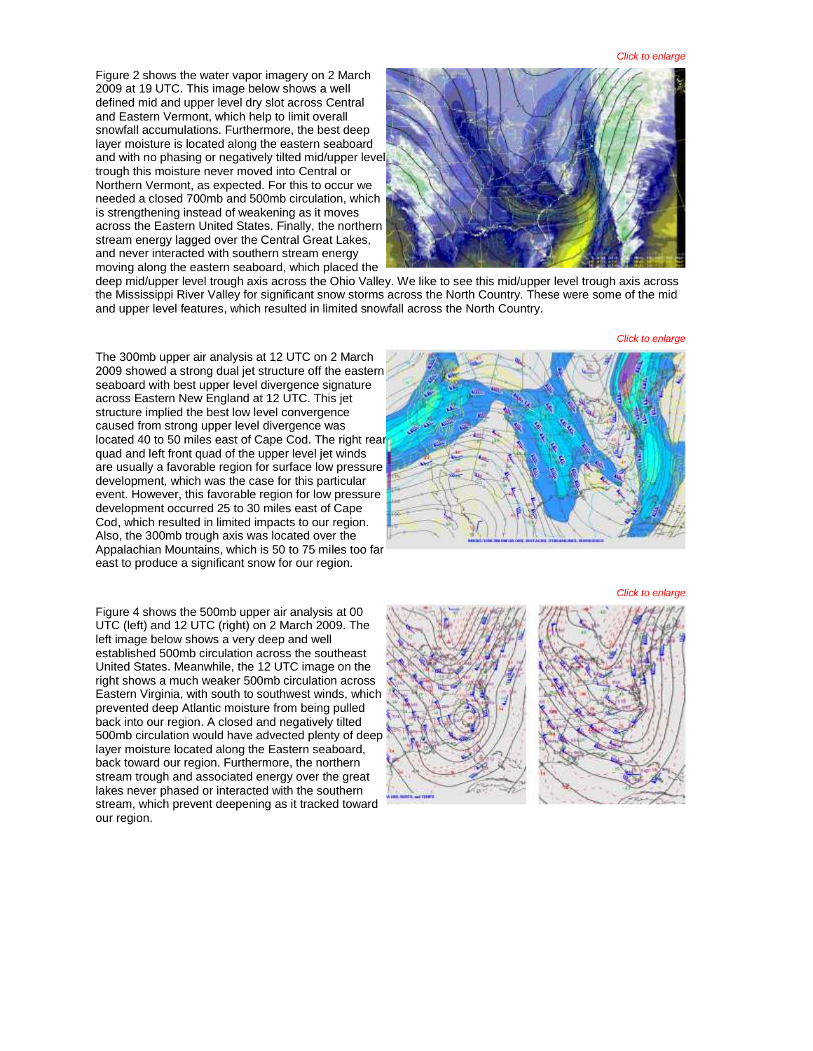*Click to enlarge*

Figure 2 shows the water vapor imagery on 2 March 2009 at 19 UTC. This image below shows a well defined mid and upper level dry slot across Central and Eastern Vermont, which help to limit overall snowfall accumulations. Furthermore, the best deep layer moisture is located along the eastern seaboard and with no phasing or negatively tilted mid/upper level trough this moisture never moved into Central or Northern Vermont, as expected. For this to occur we needed a closed 700mb and 500mb circulation, which is strengthening instead of weakening as it moves across the Eastern United States. Finally, the northern stream energy lagged over the Central Great Lakes, and never interacted with southern stream energy moving along the eastern seaboard, which placed the



deep mid/upper level trough axis across the Ohio Valley. We like to see this mid/upper level trough axis across the Mississippi River Valley for significant snow storms across the North Country. These were some of the mid and upper level features, which resulted in limited snowfall across the North Country.

*Click to enlarge*

The 300mb upper air analysis at 12 UTC on 2 March 2009 showed a strong dual jet structure off the eastern seaboard with best upper level divergence signature across Eastern New England at 12 UTC. This jet structure implied the best low level convergence caused from strong upper level divergence was located 40 to 50 miles east of Cape Cod. The right rea[r](http://www.weather.gov/images/btv/events/02Mar2009/figure3.PNG)  quad and left front quad of the upper level jet winds are usually a favorable region for surface low pressure development, which was the case for this particular event. However, this favorable region for low pressure development occurred 25 to 30 miles east of Cape Cod, which resulted in limited impacts to our region. Also, the 300mb trough axis was located over the Appalachian Mountains, which is 50 to 75 miles too far east to produce a significant snow for our region.

Figure 4 shows the 500mb upper air analysis at 00 UTC (left) and 12 UTC (right) on 2 March 2009. The left image below shows a very deep and well established 500mb circulation across the southeast United States. Meanwhile, the 12 UTC image on the right shows a much weaker 500mb circulation across Eastern Virginia, with south to southwest winds, which prevented deep Atlantic moisture from being pulled back into our region. A closed and negatively tilted 500mb circulation would have advected plenty of deep layer moisture located along the Eastern seaboard, back toward our region. Furthermore, the northern stream trough and associated energy over the great lakes never phased or interacted with the southern stream, which prevent deepening as it tracked toward our region.



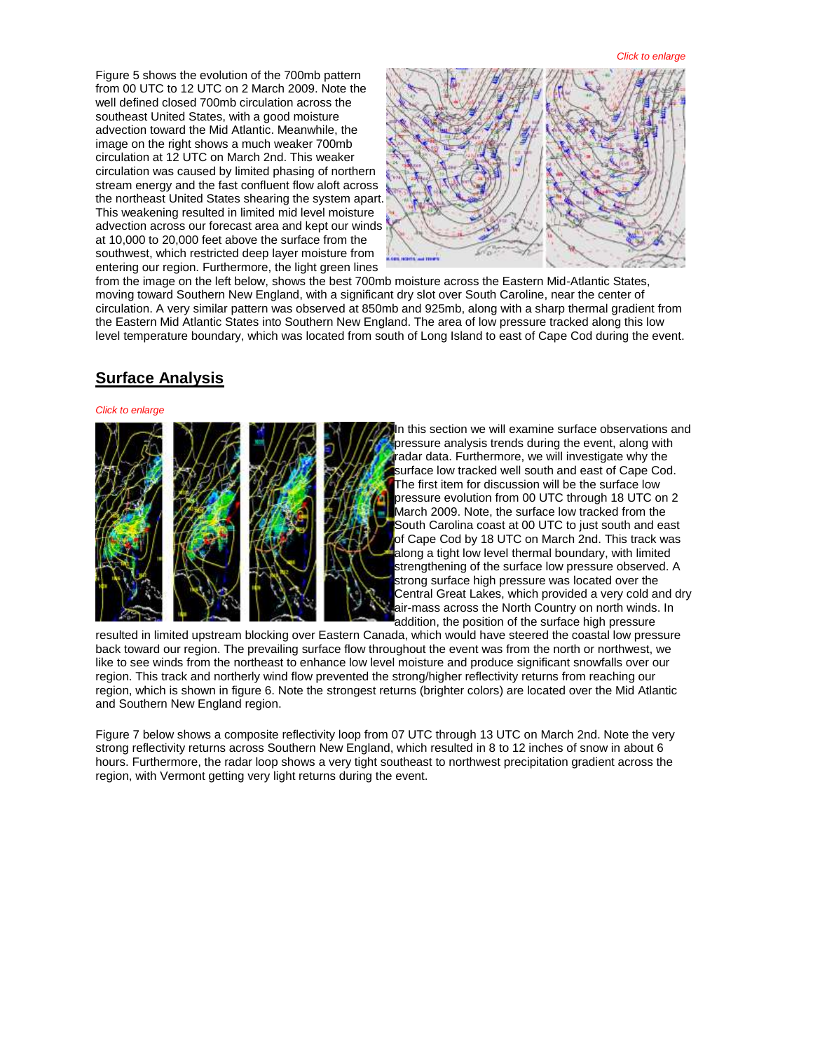*Click to enlarge*

Figure 5 shows the evolution of the 700mb pattern from 00 UTC to 12 UTC on 2 March 2009. Note the well defined closed 700mb circulation across the southeast United States, with a good moisture advection toward the Mid Atlantic. Meanwhile, the image on the right shows a much weaker 700mb circulation at 12 UTC on March 2nd. This weaker circulation was caused by limited phasing of northern stream energy and the fast confluent flow aloft across the northeast United States shearing the system apart. This weakening resulted in limited mid level moisture advection across our forecast area and kept our winds at 10,000 to 20,000 feet above the surface from the southwest, which restricted deep layer moisture from entering our region. Furthermore, the light green lines



from the image on the left below, shows the best 700mb moisture across the Eastern Mid-Atlantic States, moving toward Southern New England, with a significant dry slot over South Caroline, near the center of circulation. A very similar pattern was observed at 850mb and 925mb, along with a sharp thermal gradient from the Eastern Mid Atlantic States into Southern New England. The area of low pressure tracked along this low level temperature boundary, which was located from south of Long Island to east of Cape Cod during the event.

### **Surface Analysis**

#### *Click to enlarge*



In this section we will examine surface observations and pressure analysis trends during the event, along with radar data. Furthermore, we will investigate why the surface low tracked well south and east of Cape Cod. The first item for discussion will be the surface low pressure evolution from 00 UTC through 18 UTC on 2 March 2009. Note, the surface low tracked from the South Carolina coast at 00 UTC to just south and east of Cape Cod by 18 UTC on March 2nd. This track was along a tight low level thermal boundary, with limited strengthening of the surface low pressure observed. A strong surface high pressure was located over the Central Great Lakes, which provided a very cold and dry air-mass across the North Country on north winds. In addition, the position of the surface high pressure

resulted in limited upstream blocking over Eastern Canada, which would have steered the coastal low pressure back toward our region. The prevailing surface flow throughout the event was from the north or northwest, we like to see winds from the northeast to enhance low level moisture and produce significant snowfalls over our region. This track and northerly wind flow prevented the strong/higher reflectivity returns from reaching our region, which is shown in figure 6. Note the strongest returns (brighter colors) are located over the Mid Atlantic and Southern New England region.

Figure 7 below shows a composite reflectivity loop from 07 UTC through 13 UTC on March 2nd. Note the very strong reflectivity returns across Southern New England, which resulted in 8 to 12 inches of snow in about 6 hours. Furthermore, the radar loop shows a very tight southeast to northwest precipitation gradient across the region, with Vermont getting very light returns during the event.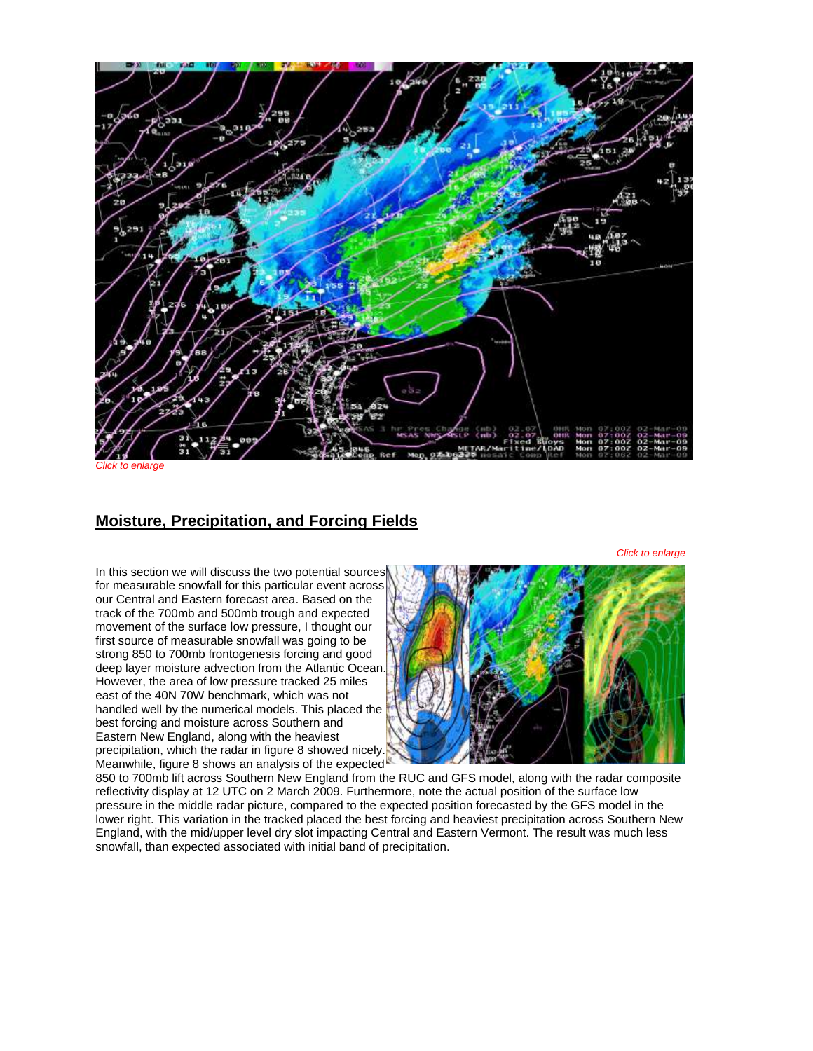

to enlarge

## **Moisture, Precipitation, and Forcing Fields**

*Click to enlarge*

In this section we will discuss the two potential sources for measurable snowfall for this particular event across our Central and Eastern forecast area. Based on the track of the 700mb and 500mb trough and expected movement of the surface low pressure, I thought our first source of measurable snowfall was going to be strong 850 to 700mb frontogenesis forcing and good deep layer moisture advection from the Atlantic Ocean[.](http://www.weather.gov/images/btv/events/02Mar2009/figure8.PNG)  However, the area of low pressure tracked 25 miles east of the 40N 70W benchmark, which was not handled well by the numerical models. This placed the best forcing and moisture across Southern and Eastern New England, along with the heaviest precipitation, which the radar in figure 8 showed nicely. Meanwhile, figure 8 shows an analysis of the expected



850 to 700mb lift across Southern New England from the RUC and GFS model, along with the radar composite reflectivity display at 12 UTC on 2 March 2009. Furthermore, note the actual position of the surface low pressure in the middle radar picture, compared to the expected position forecasted by the GFS model in the lower right. This variation in the tracked placed the best forcing and heaviest precipitation across Southern New England, with the mid/upper level dry slot impacting Central and Eastern Vermont. The result was much less snowfall, than expected associated with initial band of precipitation.